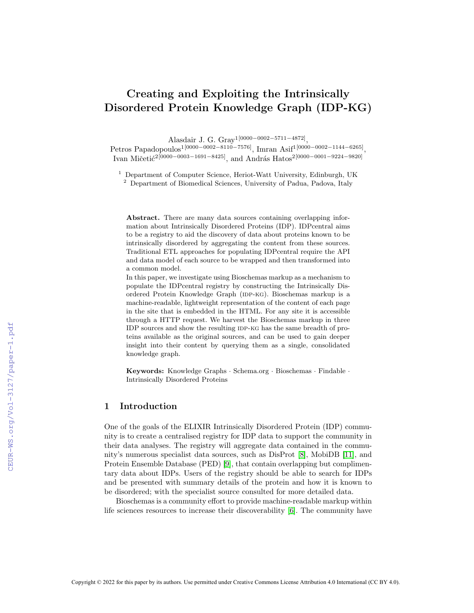# Creating and Exploiting the Intrinsically Disordered Protein Knowledge Graph (IDP-KG)

Alasdair J. G. Gray1[0000−0002−5711−4872] ,

Petros Papadopoulos<sup>1[0000–0002–8110–7576]</sup>, Imran Asif<sup>1[0000–0002–1144–6265]</sup>, Ivan Mičetić<sup>2</sup>[0000−0003−1691−8425], and András Hatos<sup>2[0000</sup>−0001−9224−9820]

<sup>1</sup> Department of Computer Science, Heriot-Watt University, Edinburgh, UK

<sup>2</sup> Department of Biomedical Sciences, University of Padua, Padova, Italy

Abstract. There are many data sources containing overlapping information about Intrinsically Disordered Proteins (IDP). IDPcentral aims to be a registry to aid the discovery of data about proteins known to be intrinsically disordered by aggregating the content from these sources. Traditional ETL approaches for populating IDPcentral require the API and data model of each source to be wrapped and then transformed into a common model.

In this paper, we investigate using Bioschemas markup as a mechanism to populate the IDPcentral registry by constructing the Intrinsically Disordered Protein Knowledge Graph (IDP-KG). Bioschemas markup is a machine-readable, lightweight representation of the content of each page in the site that is embedded in the HTML. For any site it is accessible through a HTTP request. We harvest the Bioschemas markup in three IDP sources and show the resulting IDP-KG has the same breadth of proteins available as the original sources, and can be used to gain deeper insight into their content by querying them as a single, consolidated knowledge graph.

Keywords: Knowledge Graphs · Schema.org · Bioschemas · Findable · Intrinsically Disordered Proteins

# 1 Introduction

One of the goals of the ELIXIR Intrinsically Disordered Protein (IDP) community is to create a centralised registry for IDP data to support the community in their data analyses. The registry will aggregate data contained in the community's numerous specialist data sources, such as DisProt [\[8\]](#page--1-0), MobiDB [\[11\]](#page--1-1), and Protein Ensemble Database (PED) [\[9\]](#page--1-2), that contain overlapping but complimentary data about IDPs. Users of the registry should be able to search for IDPs and be presented with summary details of the protein and how it is known to be disordered; with the specialist source consulted for more detailed data.

Bioschemas is a community effort to provide machine-readable markup within life sciences resources to increase their discoverability [\[6\]](#page--1-3). The community have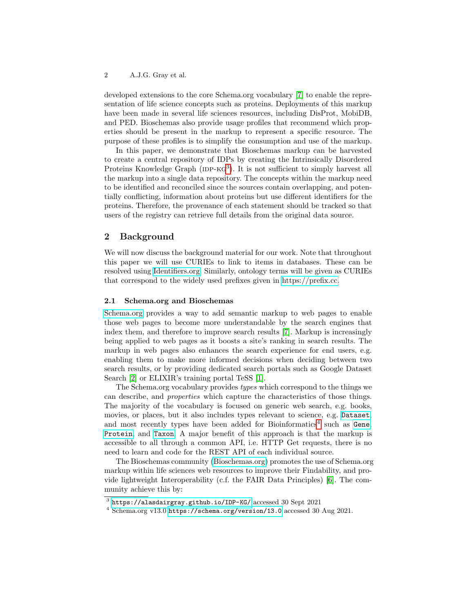developed extensions to the core Schema.org vocabulary [\[7\]](#page-9-0) to enable the representation of life science concepts such as proteins. Deployments of this markup have been made in several life sciences resources, including DisProt, MobiDB, and PED. Bioschemas also provide usage profiles that recommend which properties should be present in the markup to represent a specific resource. The purpose of these profiles is to simplify the consumption and use of the markup.

In this paper, we demonstrate that Bioschemas markup can be harvested to create a central repository of IDPs by creating the Intrinsically Disordered Proteins Knowledge Graph ( $IDP-KG<sup>3</sup>$  $IDP-KG<sup>3</sup>$  $IDP-KG<sup>3</sup>$ ). It is not sufficient to simply harvest all the markup into a single data repository. The concepts within the markup need to be identified and reconciled since the sources contain overlapping, and potentially conflicting, information about proteins but use different identifiers for the proteins. Therefore, the provenance of each statement should be tracked so that users of the registry can retrieve full details from the original data source.

## 2 Background

We will now discuss the background material for our work. Note that throughout this paper we will use CURIEs to link to items in databases. These can be resolved using [Identifiers.org.](https://identifiers.org/) Similarly, ontology terms will be given as CURIEs that correspond to the widely used prefixes given in [https://prefix.cc.](https://prefix.cc/)

## 2.1 Schema.org and Bioschemas

[Schema.org](https://schema.org) provides a way to add semantic markup to web pages to enable those web pages to become more understandable by the search engines that index them, and therefore to improve search results [\[7\]](#page-9-0). Markup is increasingly being applied to web pages as it boosts a site's ranking in search results. The markup in web pages also enhances the search experience for end users, e.g. enabling them to make more informed decisions when deciding between two search results, or by providing dedicated search portals such as Google Dataset Search [\[2\]](#page-9-1) or ELIXIR's training portal TeSS [\[1\]](#page-9-2).

The Schema.org vocabulary provides types which correspond to the things we can describe, and properties which capture the characteristics of those things. The majority of the vocabulary is focused on generic web search, e.g. books, movies, or places, but it also includes types relevant to science, e.g. [Dataset](https://schema.org/Dataset), and most recently types have been added for Bioinformatics<sup>[4](#page-1-1)</sup> such as [Gene](https://schema.org/Gene), [Protein](https://schema.org/Protein), and [Taxon](https://schema.org/Taxon). A major benefit of this approach is that the markup is accessible to all through a common API, i.e. HTTP Get requests, there is no need to learn and code for the REST API of each individual source.

The Bioschemas community [\(Bioschemas.org\)](https://bioschemas.org) promotes the use of Schema.org markup within life sciences web resources to improve their Findability, and provide lightweight Interoperability (c.f. the FAIR Data Principles) [\[6\]](#page-9-3). The community achieve this by:

<span id="page-1-0"></span> $^3$  <https://alasdairgray.github.io/IDP-KG/> accessed 30 Sept 2021

<span id="page-1-1"></span><sup>4</sup> Schema.org v13.0 <https://schema.org/version/13.0> accessed 30 Aug 2021.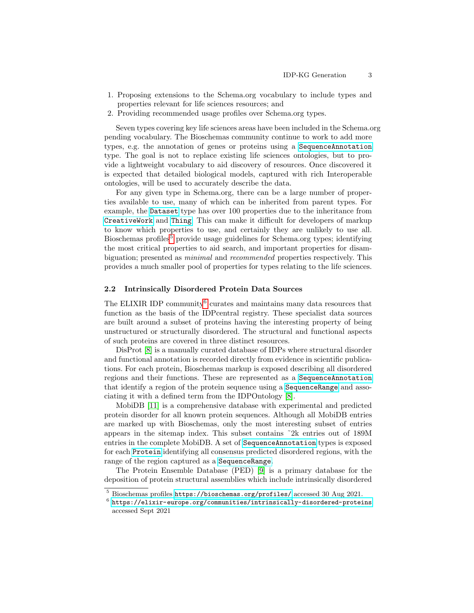- 1. Proposing extensions to the Schema.org vocabulary to include types and properties relevant for life sciences resources; and
- 2. Providing recommended usage profiles over Schema.org types.

Seven types covering key life sciences areas have been included in the Schema.org pending vocabulary. The Bioschemas community continue to work to add more types, e.g. the annotation of genes or proteins using a [SequenceAnnotation](https://bioschemas.org/SequenceAnnotation) type. The goal is not to replace existing life sciences ontologies, but to provide a lightweight vocabulary to aid discovery of resources. Once discovered it is expected that detailed biological models, captured with rich Interoperable ontologies, will be used to accurately describe the data.

For any given type in Schema.org, there can be a large number of properties available to use, many of which can be inherited from parent types. For example, the [Dataset](https://schema.org/Dataset) type has over 100 properties due to the inheritance from [CreativeWork](https://schema.org/CreativeWork) and [Thing](https://schema.org/Thing). This can make it difficult for developers of markup to know which properties to use, and certainly they are unlikely to use all. Bioschemas profiles<sup>[5](#page-2-0)</sup> provide usage guidelines for Schema.org types; identifying the most critical properties to aid search, and important properties for disambiguation; presented as minimal and recommended properties respectively. This provides a much smaller pool of properties for types relating to the life sciences.

## 2.2 Intrinsically Disordered Protein Data Sources

The ELIXIR IDP community<sup>[6](#page-2-1)</sup> curates and maintains many data resources that function as the basis of the IDPcentral registry. These specialist data sources are built around a subset of proteins having the interesting property of being unstructured or structurally disordered. The structural and functional aspects of such proteins are covered in three distinct resources.

DisProt [\[8\]](#page-9-4) is a manually curated database of IDPs where structural disorder and functional annotation is recorded directly from evidence in scientific publications. For each protein, Bioschemas markup is exposed describing all disordered regions and their functions. These are represented as a [SequenceAnnotation](https://bioschemas.org/SequenceAnnotation) that identify a region of the protein sequence using a [SequenceRange](https://bioschemas.org/SequenceRange) and associating it with a defined term from the IDPOntology [\[8\]](#page-9-4).

MobiDB [\[11\]](#page-9-5) is a comprehensive database with experimental and predicted protein disorder for all known protein sequences. Although all MobiDB entries are marked up with Bioschemas, only the most interesting subset of entries appears in the sitemap index. This subset contains ˜2k entries out of 189M entries in the complete MobiDB. A set of [SequenceAnnotation](https://bioschemas.org/SequenceAnnotation) types is exposed for each [Protein](https://schema.org/Protein) identifying all consensus predicted disordered regions, with the range of the region captured as a [SequenceRange](https://bioschemas.org/SequenceRange).

The Protein Ensemble Database (PED) [\[9\]](#page-9-6) is a primary database for the deposition of protein structural assemblies which include intrinsically disordered

<span id="page-2-0"></span> $^5$  Bioschemas profiles <https://bioschemas.org/profiles/> accessed 30 Aug 2021.

<span id="page-2-1"></span> $^6$  <https://elixir-europe.org/communities/intrinsically-disordered-proteins> accessed Sept 2021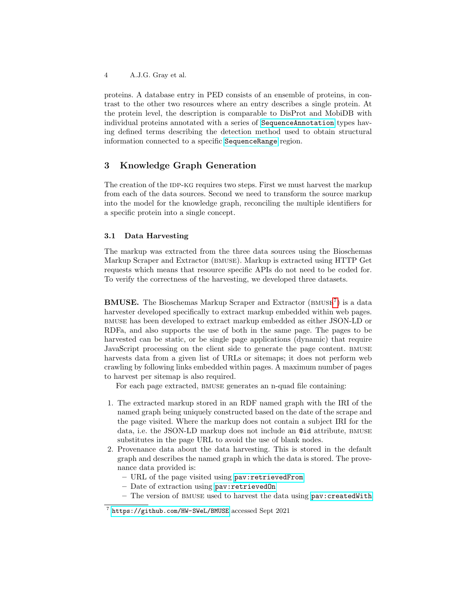4 A.J.G. Gray et al.

proteins. A database entry in PED consists of an ensemble of proteins, in contrast to the other two resources where an entry describes a single protein. At the protein level, the description is comparable to DisProt and MobiDB with individual proteins annotated with a series of [SequenceAnnotation](https://bioschemas.org/SequenceAnnotation) types having defined terms describing the detection method used to obtain structural information connected to a specific [SequenceRange](https://bioschemas.org/SequenceRange) region.

# 3 Knowledge Graph Generation

The creation of the IDP-KG requires two steps. First we must harvest the markup from each of the data sources. Second we need to transform the source markup into the model for the knowledge graph, reconciling the multiple identifiers for a specific protein into a single concept.

#### 3.1 Data Harvesting

The markup was extracted from the three data sources using the Bioschemas Markup Scraper and Extractor (bmuse). Markup is extracted using HTTP Get requests which means that resource specific APIs do not need to be coded for. To verify the correctness of the harvesting, we developed three datasets.

**BMUSE.** The Bioschemas Markup Scraper and Extractor (BMUSE<sup>[7](#page-3-0)</sup>) is a data harvester developed specifically to extract markup embedded within web pages. bmuse has been developed to extract markup embedded as either JSON-LD or RDFa, and also supports the use of both in the same page. The pages to be harvested can be static, or be single page applications (dynamic) that require JavaScript processing on the client side to generate the page content. bmuse harvests data from a given list of URLs or sitemaps; it does not perform web crawling by following links embedded within pages. A maximum number of pages to harvest per sitemap is also required.

For each page extracted, bmuse generates an n-quad file containing:

- 1. The extracted markup stored in an RDF named graph with the IRI of the named graph being uniquely constructed based on the date of the scrape and the page visited. Where the markup does not contain a subject IRI for the data, i.e. the JSON-LD markup does not include an @id attribute, bmuse substitutes in the page URL to avoid the use of blank nodes.
- 2. Provenance data about the data harvesting. This is stored in the default graph and describes the named graph in which the data is stored. The provenance data provided is:
	- URL of the page visited using [pav:retrievedFrom](https://prefix.cc/pav:retrievedFrom)
	- Date of extraction using [pav:retrievedOn](https://prefix.cc/pav:retrievedOn)
	- $-$  The version of BMUSE used to harvest the data using pav: createdWith

<span id="page-3-0"></span><sup>7</sup> <https://github.com/HW-SWeL/BMUSE> accessed Sept 2021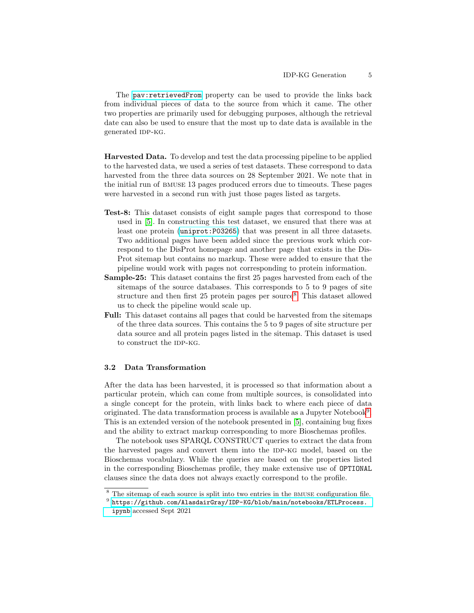The [pav:retrievedFrom](https://prefix.cc/pav:retrievedFrom) property can be used to provide the links back from individual pieces of data to the source from which it came. The other two properties are primarily used for debugging purposes, although the retrieval date can also be used to ensure that the most up to date data is available in the generated IDP-KG.

Harvested Data. To develop and test the data processing pipeline to be applied to the harvested data, we used a series of test datasets. These correspond to data harvested from the three data sources on 28 September 2021. We note that in the initial run of bmuse 13 pages produced errors due to timeouts. These pages were harvested in a second run with just those pages listed as targets.

- Test-8: This dataset consists of eight sample pages that correspond to those used in [\[5\]](#page-9-7). In constructing this test dataset, we ensured that there was at least one protein ([uniprot:P03265](https://identifiers.org/uniprot:P03265)) that was present in all three datasets. Two additional pages have been added since the previous work which correspond to the DisProt homepage and another page that exists in the Dis-Prot sitemap but contains no markup. These were added to ensure that the pipeline would work with pages not corresponding to protein information.
- Sample-25: This dataset contains the first 25 pages harvested from each of the sitemaps of the source databases. This corresponds to 5 to 9 pages of site structure and then first  $25$  protein pages per source<sup>[8](#page-4-0)</sup>. This dataset allowed us to check the pipeline would scale up.
- Full: This dataset contains all pages that could be harvested from the sitemaps of the three data sources. This contains the 5 to 9 pages of site structure per data source and all protein pages listed in the sitemap. This dataset is used to construct the IDP-KG.

#### 3.2 Data Transformation

After the data has been harvested, it is processed so that information about a particular protein, which can come from multiple sources, is consolidated into a single concept for the protein, with links back to where each piece of data originated. The data transformation process is available as a Jupyter Notebook<sup>[9](#page-4-1)</sup>. This is an extended version of the notebook presented in [\[5\]](#page-9-7), containing bug fixes and the ability to extract markup corresponding to more Bioschemas profiles.

The notebook uses SPARQL CONSTRUCT queries to extract the data from the harvested pages and convert them into the IDP-KG model, based on the Bioschemas vocabulary. While the queries are based on the properties listed in the corresponding Bioschemas profile, they make extensive use of OPTIONAL clauses since the data does not always exactly correspond to the profile.

<span id="page-4-0"></span><sup>&</sup>lt;sup>8</sup> The sitemap of each source is split into two entries in the BMUSE configuration file.

<span id="page-4-1"></span> $^9$  [https://github.com/AlasdairGray/IDP-KG/blob/main/notebooks/ETLProcess.](https://github.com/AlasdairGray/IDP-KG/blob/main/notebooks/ETLProcess.ipynb) [ipynb](https://github.com/AlasdairGray/IDP-KG/blob/main/notebooks/ETLProcess.ipynb) accessed Sept 2021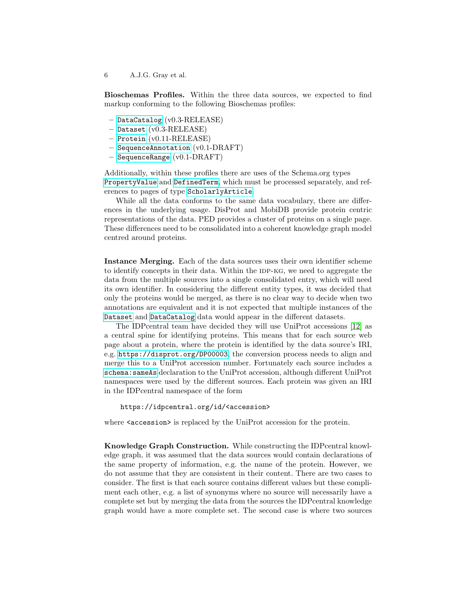6 A.J.G. Gray et al.

Bioschemas Profiles. Within the three data sources, we expected to find markup conforming to the following Bioschemas profiles:

- [DataCatalog](https://bioschemas.org/profiles/DataCatalog) (v0.3-RELEASE)
- [Dataset](https://bioschemas.org/profiles/Dataset) (v0.3-RELEASE)
- [Protein](https://bioschemas.org/profiles/Protein) (v0.11-RELEASE)
- [SequenceAnnotation](https://bioschemas.org/profiles/SequenceAnnotation) (v0.1-DRAFT)
- [SequenceRange](https://bioschemas.org/profiles/SequenceRange) (v0.1-DRAFT)

Additionally, within these profiles there are uses of the Schema.org types [PropertyValue](https://schema.org/PropertyValue) and [DefinedTerm](https://schema.org/DefinedTerm), which must be processed separately, and references to pages of type [ScholarlyArticle](https://schema.org/ScholarlyArticle).

While all the data conforms to the same data vocabulary, there are differences in the underlying usage. DisProt and MobiDB provide protein centric representations of the data. PED provides a cluster of proteins on a single page. These differences need to be consolidated into a coherent knowledge graph model centred around proteins.

Instance Merging. Each of the data sources uses their own identifier scheme to identify concepts in their data. Within the IDP-KG, we need to aggregate the data from the multiple sources into a single consolidated entry, which will need its own identifier. In considering the different entity types, it was decided that only the proteins would be merged, as there is no clear way to decide when two annotations are equivalent and it is not expected that multiple instances of the [Dataset](https://schema.org/Dataset) and [DataCatalog](https://schema.org/DataCatalog) data would appear in the different datasets.

The IDPcentral team have decided they will use UniProt accessions [\[12\]](#page-9-8) as a central spine for identifying proteins. This means that for each source web page about a protein, where the protein is identified by the data source's IRI, e.g. <https://disprot.org/DP00003>, the conversion process needs to align and merge this to a UniProt accession number. Fortunately each source includes a [schema:sameAs](https://prefix.cc/schema:sameAs) declaration to the UniProt accession, although different UniProt namespaces were used by the different sources. Each protein was given an IRI in the IDPcentral namespace of the form

https://idpcentral.org/id/<accession>

where  $\leq$  accession is replaced by the UniProt accession for the protein.

Knowledge Graph Construction. While constructing the IDPcentral knowledge graph, it was assumed that the data sources would contain declarations of the same property of information, e.g. the name of the protein. However, we do not assume that they are consistent in their content. There are two cases to consider. The first is that each source contains different values but these compliment each other, e.g. a list of synonyms where no source will necessarily have a complete set but by merging the data from the sources the IDPcentral knowledge graph would have a more complete set. The second case is where two sources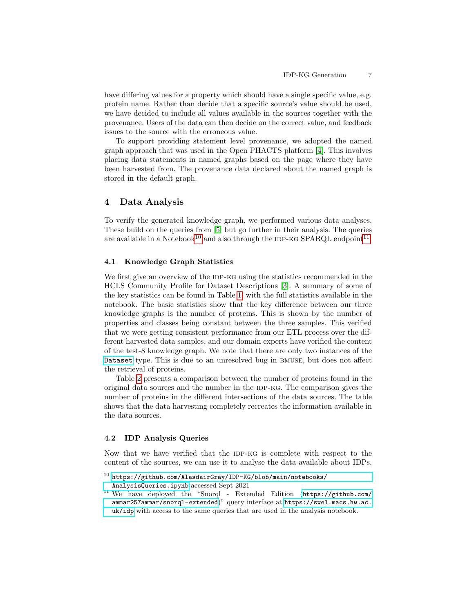have differing values for a property which should have a single specific value, e.g. protein name. Rather than decide that a specific source's value should be used, we have decided to include all values available in the sources together with the provenance. Users of the data can then decide on the correct value, and feedback issues to the source with the erroneous value.

To support providing statement level provenance, we adopted the named graph approach that was used in the Open PHACTS platform [\[4\]](#page-9-9). This involves placing data statements in named graphs based on the page where they have been harvested from. The provenance data declared about the named graph is stored in the default graph.

## 4 Data Analysis

To verify the generated knowledge graph, we performed various data analyses. These build on the queries from [\[5\]](#page-9-7) but go further in their analysis. The queries are available in a Notebook<sup>[10](#page-6-0)</sup> and also through the IDP-KG SPARQL endpoint<sup>[11](#page-6-1)</sup>.

#### 4.1 Knowledge Graph Statistics

We first give an overview of the IDP-KG using the statistics recommended in the HCLS Community Profile for Dataset Descriptions [\[3\]](#page-9-10). A summary of some of the key statistics can be found in Table [1,](#page-7-0) with the full statistics available in the notebook. The basic statistics show that the key difference between our three knowledge graphs is the number of proteins. This is shown by the number of properties and classes being constant between the three samples. This verified that we were getting consistent performance from our ETL process over the different harvested data samples, and our domain experts have verified the content of the test-8 knowledge graph. We note that there are only two instances of the [Dataset](https://schema.org/Dataset) type. This is due to an unresolved bug in bmuse, but does not affect the retrieval of proteins.

Table [2](#page-7-1) presents a comparison between the number of proteins found in the original data sources and the number in the IDP-KG. The comparison gives the number of proteins in the different intersections of the data sources. The table shows that the data harvesting completely recreates the information available in the data sources.

#### 4.2 IDP Analysis Queries

Now that we have verified that the IDP-KG is complete with respect to the content of the sources, we can use it to analyse the data available about IDPs.

<span id="page-6-0"></span> $^{10}$ [https://github.com/AlasdairGray/IDP-KG/blob/main/notebooks/](https://github.com/AlasdairGray/IDP-KG/blob/main/notebooks/AnalysisQueries.ipynb)

[AnalysisQueries.ipynb](https://github.com/AlasdairGray/IDP-KG/blob/main/notebooks/AnalysisQueries.ipynb) accessed Sept 2021

<span id="page-6-1"></span><sup>11</sup> We have deployed the "Snorql - Extended Edition ([https://github.com/](https://github.com/ammar257ammar/snorql-extended) [ammar257ammar/snorql-extended](https://github.com/ammar257ammar/snorql-extended))" query interface at [https://swel.macs.hw.ac.](https://swel.macs.hw.ac.uk/idp) [uk/idp](https://swel.macs.hw.ac.uk/idp) with access to the same queries that are used in the analysis notebook.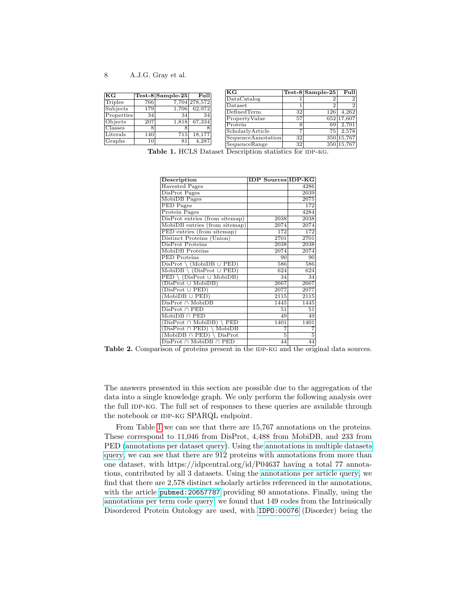| KG         |     | $Test-8$ Sample-25 | Full          | KG                   |     | $Test-8$ Sample-25 | Fulll      |
|------------|-----|--------------------|---------------|----------------------|-----|--------------------|------------|
|            |     |                    |               | DataCatalog          |     |                    |            |
| Triples    | 766 |                    | 7,704 278,572 | Dataset              |     |                    |            |
| Subjects   | 179 | 1.706              | 62.972        | DefinedTerm          | 32  | 126                | 4.262      |
| Properties | 34  | 34                 | 34            | PropertyValue        | 57  |                    | 652 17.607 |
| Objects    | 207 | 1.818              | 67,334        |                      |     |                    |            |
| Classes    | 8   |                    |               | Protein              |     | 691                | 2.701      |
| Literals   | 140 | 715                | 18.177        | ScholarlyArticle     |     | 751                | 2.578      |
|            |     |                    |               | SequenceAnnotation   | 32  |                    | 350 15,767 |
| Graphs     | 101 | 81                 | 4.287         | $S$ equence $B$ ange | 321 |                    | 350 15 767 |

<span id="page-7-0"></span> $\frac{S_{10}}{10}$   $\frac{S_{11}}{10}$   $\frac{S_{21}}{100}$   $\frac{S_{350}}{15,767}$ <br>Table 1. HCLS Dataset Description statistics for IDP-KG.

| Description                                       | <b>IDP Sources IDP-KG</b> |                   |
|---------------------------------------------------|---------------------------|-------------------|
| <b>Havested Pages</b>                             |                           | 4286              |
| DisProt Pages                                     |                           | $20\overline{39}$ |
| MobiDB Pages                                      |                           | $20\overline{75}$ |
| PED Pages                                         |                           | 172               |
| <b>Protein Pages</b>                              |                           | 4284              |
| DisProt entries (from sitemap)                    | 2038                      | 2038              |
| MobiDB entries (from sitemap)                     | 2074                      | 2074              |
| PED entries (from sitemap)                        | 172                       | 172               |
| Distinct Proteins (Union)                         | 2701                      | 2701              |
| DisProt Proteins                                  | 2038                      | 2038              |
| MobiDB Proteins                                   | 2074                      | 2074              |
| <b>PED</b> Proteins                               | 90                        | 90                |
| $DisProt \setminus (MobiDB \cup PED)$             | 586                       | 586               |
| $MobiDB \setminus (DisProt \cup PED)$             | 624                       | 624               |
| $\overline{PED \setminus (DisProt \cup MobileB)}$ | 34                        | 34                |
| $(DisProt \cup MobileDB)$                         | 2667                      | 2667              |
| $(DisProt \cup PED)$                              | 2077                      | 2077              |
| $(MobiDB \cup PED)$                               | 2115                      | 2115              |
| $DisProt \cap Mobile$                             | 1445                      | 1445              |
| $DisProt \cap PED$                                | 51                        | 51                |
| $\overline{\text{MobiDB}} \cap \text{PED}$        | 49                        | 49                |
| $(DisProt \cap MobileDB)$<br><b>PED</b>           | 1401                      | 1401              |
| $(DisProt \cap PED)$<br>MobiDB                    | 7                         | 7                 |
| $(MobiDB \cap PED)$<br>DisProt                    | 5                         | $\overline{5}$    |
| $DisProt \cap MobileDB \cap PED$                  | 44                        | 44                |

<span id="page-7-1"></span>Table 2. Comparison of proteins present in the IDP-KG and the original data sources.

The answers presented in this section are possible due to the aggregation of the data into a single knowledge graph. We only perform the following analysis over the full IDP-KG. The full set of responses to these queries are available through the notebook or IDP-KG SPARQL endpoint.

From Table [1](#page-7-0) we can see that there are 15,767 annotations on the proteins. These correspond to 11,046 from DisProt, 4,488 from MobiDB, and 233 from PED [\(annotations per dataset query\)](https://github.com/AlasdairGray/IDP-KG/blob/main/queries/annotations/annotation-per-dataset.rq). Using the [annotations in multiple datasets](https://github.com/AlasdairGray/IDP-KG/blob/main/queries/annotations/protein-annotations-multi-datasets.rq) [query,](https://github.com/AlasdairGray/IDP-KG/blob/main/queries/annotations/protein-annotations-multi-datasets.rq) we can see that there are 912 proteins with annotations from more than one dataset, with https://idpcentral.org/id/P04637 having a total 77 annotations, contributed by all 3 datasets. Using the [annotations per article query,](https://github.com/AlasdairGray/IDP-KG/blob/main/queries/annotations/annotations-per-article.rq) we find that there are 2,578 distinct scholarly articles referenced in the annotations, with the article [pubmed:20657787](https://identifiers.org/pubmed:20657787) providing 80 annotations. Finally, using the [annotations per term code query,](https://github.com/AlasdairGray/IDP-KG/blob/main/queries/annotations/annotations-by-term-code.rq) we found that 149 codes from the Intrinsically Disordered Protein Ontology are used, with [IDPO:00076](https://disprot.org/idpo/IDPO:00076) (Disorder) being the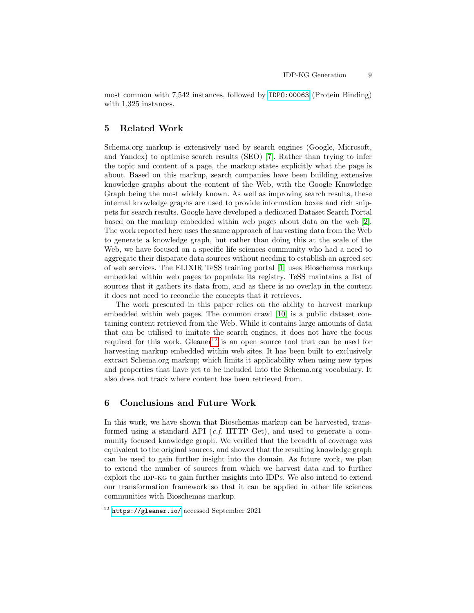most common with 7,542 instances, followed by [IDPO:00063](https://disprot.org/idpo/IDPO:00063) (Protein Binding) with 1,325 instances.

## 5 Related Work

Schema.org markup is extensively used by search engines (Google, Microsoft, and Yandex) to optimise search results (SEO) [\[7\]](#page-9-0). Rather than trying to infer the topic and content of a page, the markup states explicitly what the page is about. Based on this markup, search companies have been building extensive knowledge graphs about the content of the Web, with the Google Knowledge Graph being the most widely known. As well as improving search results, these internal knowledge graphs are used to provide information boxes and rich snippets for search results. Google have developed a dedicated Dataset Search Portal based on the markup embedded within web pages about data on the web [\[2\]](#page-9-1). The work reported here uses the same approach of harvesting data from the Web to generate a knowledge graph, but rather than doing this at the scale of the Web, we have focused on a specific life sciences community who had a need to aggregate their disparate data sources without needing to establish an agreed set of web services. The ELIXIR TeSS training portal [\[1\]](#page-9-2) uses Bioschemas markup embedded within web pages to populate its registry. TeSS maintains a list of sources that it gathers its data from, and as there is no overlap in the content it does not need to reconcile the concepts that it retrieves.

The work presented in this paper relies on the ability to harvest markup embedded within web pages. The common crawl [\[10\]](#page-9-11) is a public dataset containing content retrieved from the Web. While it contains large amounts of data that can be utilised to imitate the search engines, it does not have the focus required for this work. Gleaner<sup>[12](#page-8-0)</sup> is an open source tool that can be used for harvesting markup embedded within web sites. It has been built to exclusively extract Schema.org markup; which limits it applicability when using new types and properties that have yet to be included into the Schema.org vocabulary. It also does not track where content has been retrieved from.

## 6 Conclusions and Future Work

In this work, we have shown that Bioschemas markup can be harvested, transformed using a standard API  $(c.f. \text{ HTTP Get})$ , and used to generate a community focused knowledge graph. We verified that the breadth of coverage was equivalent to the original sources, and showed that the resulting knowledge graph can be used to gain further insight into the domain. As future work, we plan to extend the number of sources from which we harvest data and to further exploit the IDP-KG to gain further insights into IDPs. We also intend to extend our transformation framework so that it can be applied in other life sciences communities with Bioschemas markup.

<span id="page-8-0"></span> $\frac{12 \text{ https://gleaner.io/} \text{accessed September 2021}}{12 \text{ https://gleaner.io/} \text{accessed September 2021}}$  $\frac{12 \text{ https://gleaner.io/} \text{accessed September 2021}}{12 \text{ https://gleaner.io/} \text{accessed September 2021}}$  $\frac{12 \text{ https://gleaner.io/} \text{accessed September 2021}}{12 \text{ https://gleaner.io/} \text{accessed September 2021}}$